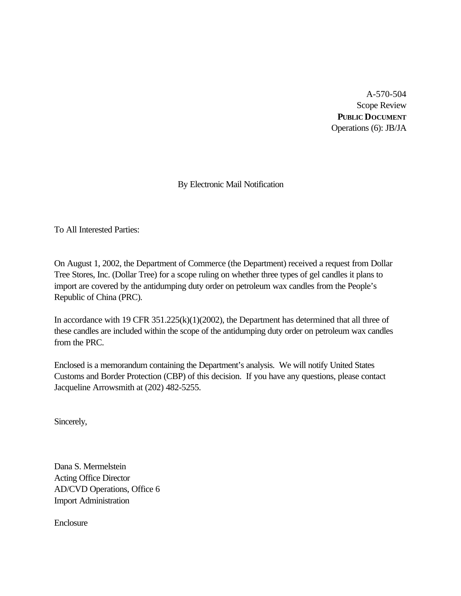A-570-504 Scope Review **PUBLIC DOCUMENT** Operations (6): JB/JA

By Electronic Mail Notification

To All Interested Parties:

On August 1, 2002, the Department of Commerce (the Department) received a request from Dollar Tree Stores, Inc. (Dollar Tree) for a scope ruling on whether three types of gel candles it plans to import are covered by the antidumping duty order on petroleum wax candles from the People's Republic of China (PRC).

In accordance with 19 CFR 351.225(k)(1)(2002), the Department has determined that all three of these candles are included within the scope of the antidumping duty order on petroleum wax candles from the PRC.

Enclosed is a memorandum containing the Department's analysis. We will notify United States Customs and Border Protection (CBP) of this decision. If you have any questions, please contact Jacqueline Arrowsmith at (202) 482-5255.

Sincerely,

Dana S. Mermelstein Acting Office Director AD/CVD Operations, Office 6 Import Administration

**Enclosure**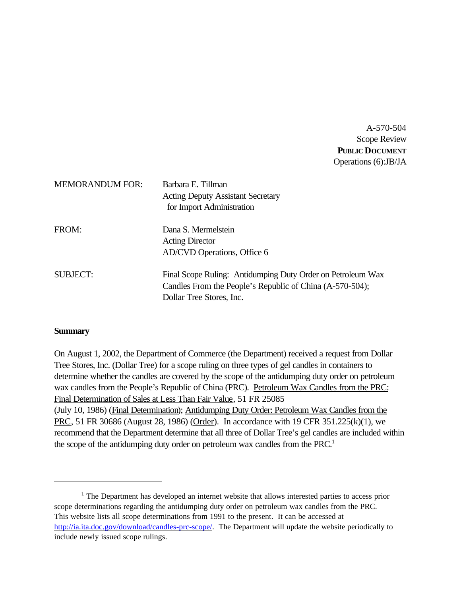A-570-504 Scope Review **PUBLIC DOCUMENT** Operations (6):JB/JA

| <b>MEMORANDUM FOR:</b> | Barbara E. Tillman<br><b>Acting Deputy Assistant Secretary</b><br>for Import Administration                                                         |
|------------------------|-----------------------------------------------------------------------------------------------------------------------------------------------------|
| FROM:                  | Dana S. Mermelstein<br><b>Acting Director</b><br>AD/CVD Operations, Office 6                                                                        |
| <b>SUBJECT:</b>        | Final Scope Ruling: Antidumping Duty Order on Petroleum Wax<br>Candles From the People's Republic of China (A-570-504);<br>Dollar Tree Stores, Inc. |

### **Summary**

On August 1, 2002, the Department of Commerce (the Department) received a request from Dollar Tree Stores, Inc. (Dollar Tree) for a scope ruling on three types of gel candles in containers to determine whether the candles are covered by the scope of the antidumping duty order on petroleum wax candles from the People's Republic of China (PRC). Petroleum Wax Candles from the PRC: Final Determination of Sales at Less Than Fair Value, 51 FR 25085 (July 10, 1986) (Final Determination); Antidumping Duty Order: Petroleum Wax Candles from the PRC, 51 FR 30686 (August 28, 1986) (Order). In accordance with 19 CFR 351.225(k)(1), we recommend that the Department determine that all three of Dollar Tree's gel candles are included within the scope of the antidumping duty order on petroleum wax candles from the PRC.<sup>1</sup>

 $<sup>1</sup>$  The Department has developed an internet website that allows interested parties to access prior</sup> scope determinations regarding the antidumping duty order on petroleum wax candles from the PRC. This website lists all scope determinations from 1991 to the present. It can be accessed at http://ia.ita.doc.gov/download/candles-prc-scope/. The Department will update the website periodically to include newly issued scope rulings.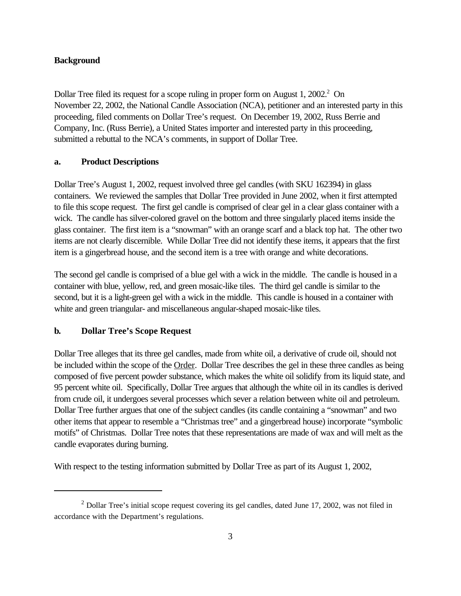# **Background**

Dollar Tree filed its request for a scope ruling in proper form on August 1, 2002.<sup>2</sup> On November 22, 2002, the National Candle Association (NCA), petitioner and an interested party in this proceeding, filed comments on Dollar Tree's request. On December 19, 2002, Russ Berrie and Company, Inc. (Russ Berrie), a United States importer and interested party in this proceeding, submitted a rebuttal to the NCA's comments, in support of Dollar Tree.

## **a. Product Descriptions**

Dollar Tree's August 1, 2002, request involved three gel candles (with SKU 162394) in glass containers. We reviewed the samples that Dollar Tree provided in June 2002, when it first attempted to file this scope request. The first gel candle is comprised of clear gel in a clear glass container with a wick. The candle has silver-colored gravel on the bottom and three singularly placed items inside the glass container. The first item is a "snowman" with an orange scarf and a black top hat. The other two items are not clearly discernible. While Dollar Tree did not identify these items, it appears that the first item is a gingerbread house, and the second item is a tree with orange and white decorations.

The second gel candle is comprised of a blue gel with a wick in the middle. The candle is housed in a container with blue, yellow, red, and green mosaic-like tiles. The third gel candle is similar to the second, but it is a light-green gel with a wick in the middle. This candle is housed in a container with white and green triangular- and miscellaneous angular-shaped mosaic-like tiles.

# **b. Dollar Tree's Scope Request**

Dollar Tree alleges that its three gel candles, made from white oil, a derivative of crude oil, should not be included within the scope of the Order. Dollar Tree describes the gel in these three candles as being composed of five percent powder substance, which makes the white oil solidify from its liquid state, and 95 percent white oil. Specifically, Dollar Tree argues that although the white oil in its candles is derived from crude oil, it undergoes several processes which sever a relation between white oil and petroleum. Dollar Tree further argues that one of the subject candles (its candle containing a "snowman" and two other items that appear to resemble a "Christmas tree" and a gingerbread house) incorporate "symbolic motifs" of Christmas. Dollar Tree notes that these representations are made of wax and will melt as the candle evaporates during burning.

With respect to the testing information submitted by Dollar Tree as part of its August 1, 2002,

 $2$  Dollar Tree's initial scope request covering its gel candles, dated June 17, 2002, was not filed in accordance with the Department's regulations.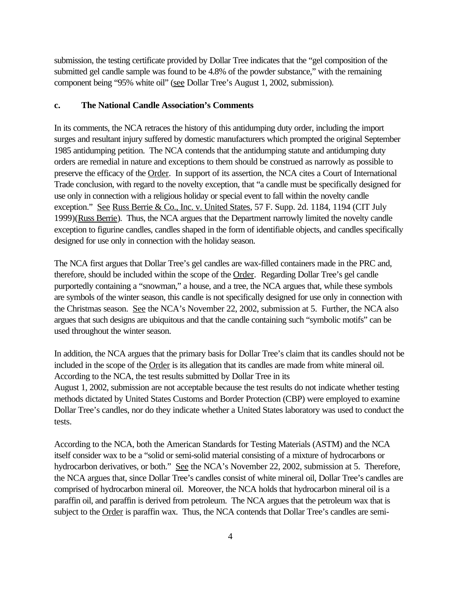submission, the testing certificate provided by Dollar Tree indicates that the "gel composition of the submitted gel candle sample was found to be 4.8% of the powder substance," with the remaining component being "95% white oil" (see Dollar Tree's August 1, 2002, submission).

#### **c. The National Candle Association's Comments**

In its comments, the NCA retraces the history of this antidumping duty order, including the import surges and resultant injury suffered by domestic manufacturers which prompted the original September 1985 antidumping petition. The NCA contends that the antidumping statute and antidumping duty orders are remedial in nature and exceptions to them should be construed as narrowly as possible to preserve the efficacy of the Order. In support of its assertion, the NCA cites a Court of International Trade conclusion, with regard to the novelty exception, that "a candle must be specifically designed for use only in connection with a religious holiday or special event to fall within the novelty candle exception." See Russ Berrie & Co., Inc. v. United States, 57 F. Supp. 2d. 1184, 1194 (CIT July 1999)(Russ Berrie). Thus, the NCA argues that the Department narrowly limited the novelty candle exception to figurine candles, candles shaped in the form of identifiable objects, and candles specifically designed for use only in connection with the holiday season.

The NCA first argues that Dollar Tree's gel candles are wax-filled containers made in the PRC and, therefore, should be included within the scope of the Order. Regarding Dollar Tree's gel candle purportedly containing a "snowman," a house, and a tree, the NCA argues that, while these symbols are symbols of the winter season, this candle is not specifically designed for use only in connection with the Christmas season. See the NCA's November 22, 2002, submission at 5. Further, the NCA also argues that such designs are ubiquitous and that the candle containing such "symbolic motifs" can be used throughout the winter season.

In addition, the NCA argues that the primary basis for Dollar Tree's claim that its candles should not be included in the scope of the Order is its allegation that its candles are made from white mineral oil. According to the NCA, the test results submitted by Dollar Tree in its August 1, 2002, submission are not acceptable because the test results do not indicate whether testing methods dictated by United States Customs and Border Protection (CBP) were employed to examine Dollar Tree's candles, nor do they indicate whether a United States laboratory was used to conduct the tests.

According to the NCA, both the American Standards for Testing Materials (ASTM) and the NCA itself consider wax to be a "solid or semi-solid material consisting of a mixture of hydrocarbons or hydrocarbon derivatives, or both." See the NCA's November 22, 2002, submission at 5. Therefore, the NCA argues that, since Dollar Tree's candles consist of white mineral oil, Dollar Tree's candles are comprised of hydrocarbon mineral oil. Moreover, the NCA holds that hydrocarbon mineral oil is a paraffin oil, and paraffin is derived from petroleum. The NCA argues that the petroleum wax that is subject to the Order is paraffin wax. Thus, the NCA contends that Dollar Tree's candles are semi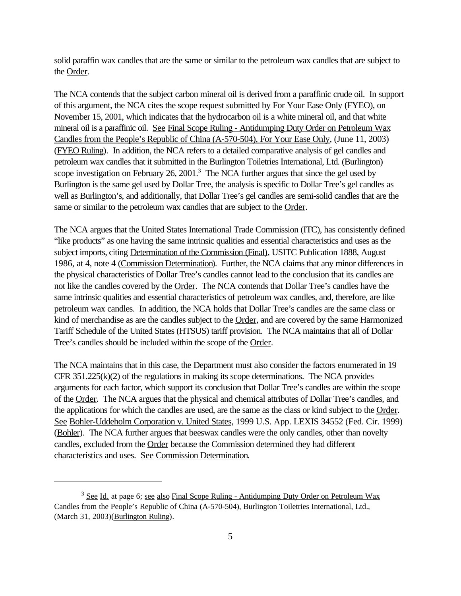solid paraffin wax candles that are the same or similar to the petroleum wax candles that are subject to the Order.

The NCA contends that the subject carbon mineral oil is derived from a paraffinic crude oil. In support of this argument, the NCA cites the scope request submitted by For Your Ease Only (FYEO), on November 15, 2001, which indicates that the hydrocarbon oil is a white mineral oil, and that white mineral oil is a paraffinic oil. See Final Scope Ruling - Antidumping Duty Order on Petroleum Wax Candles from the People's Republic of China (A-570-504), For Your Ease Only, (June 11, 2003) (FYEO Ruling). In addition, the NCA refers to a detailed comparative analysis of gel candles and petroleum wax candles that it submitted in the Burlington Toiletries International, Ltd. (Burlington) scope investigation on February 26, 2001.<sup>3</sup> The NCA further argues that since the gel used by Burlington is the same gel used by Dollar Tree, the analysis is specific to Dollar Tree's gel candles as well as Burlington's, and additionally, that Dollar Tree's gel candles are semi-solid candles that are the same or similar to the petroleum wax candles that are subject to the Order.

The NCA argues that the United States International Trade Commission (ITC), has consistently defined "like products" as one having the same intrinsic qualities and essential characteristics and uses as the subject imports, citing Determination of the Commission (Final), USITC Publication 1888, August 1986, at 4, note 4 (Commission Determination). Further, the NCA claims that any minor differences in the physical characteristics of Dollar Tree's candles cannot lead to the conclusion that its candles are not like the candles covered by the Order. The NCA contends that Dollar Tree's candles have the same intrinsic qualities and essential characteristics of petroleum wax candles, and, therefore, are like petroleum wax candles. In addition, the NCA holds that Dollar Tree's candles are the same class or kind of merchandise as are the candles subject to the Order, and are covered by the same Harmonized Tariff Schedule of the United States (HTSUS) tariff provision. The NCA maintains that all of Dollar Tree's candles should be included within the scope of the Order.

The NCA maintains that in this case, the Department must also consider the factors enumerated in 19 CFR  $351.225(k)(2)$  of the regulations in making its scope determinations. The NCA provides arguments for each factor, which support its conclusion that Dollar Tree's candles are within the scope of the Order. The NCA argues that the physical and chemical attributes of Dollar Tree's candles, and the applications for which the candles are used, are the same as the class or kind subject to the Order. See Bohler-Uddeholm Corporation v. United States, 1999 U.S. App. LEXIS 34552 (Fed. Cir. 1999) (Bohler). The NCA further argues that beeswax candles were the only candles, other than novelty candles, excluded from the Order because the Commission determined they had different characteristics and uses. See Commission Determination.

<sup>&</sup>lt;sup>3</sup> See Id. at page 6; see also Final Scope Ruling - Antidumping Duty Order on Petroleum Wax Candles from the People's Republic of China (A-570-504), Burlington Toiletries International, Ltd., (March 31, 2003)(Burlington Ruling).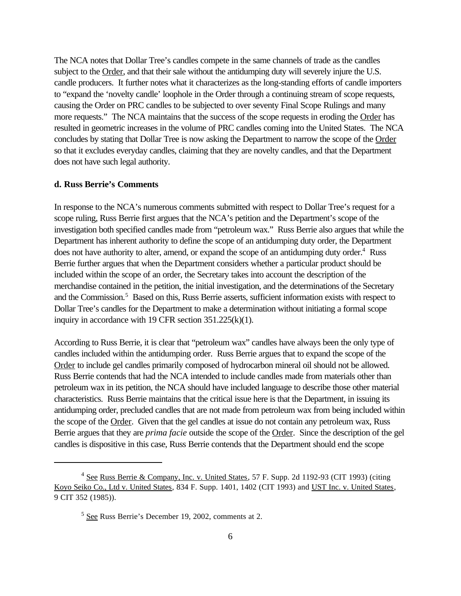The NCA notes that Dollar Tree's candles compete in the same channels of trade as the candles subject to the Order, and that their sale without the antidumping duty will severely injure the U.S. candle producers. It further notes what it characterizes as the long-standing efforts of candle importers to "expand the 'novelty candle' loophole in the Order through a continuing stream of scope requests, causing the Order on PRC candles to be subjected to over seventy Final Scope Rulings and many more requests." The NCA maintains that the success of the scope requests in eroding the Order has resulted in geometric increases in the volume of PRC candles coming into the United States. The NCA concludes by stating that Dollar Tree is now asking the Department to narrow the scope of the Order so that it excludes everyday candles, claiming that they are novelty candles, and that the Department does not have such legal authority.

### **d. Russ Berrie's Comments**

In response to the NCA's numerous comments submitted with respect to Dollar Tree's request for a scope ruling, Russ Berrie first argues that the NCA's petition and the Department's scope of the investigation both specified candles made from "petroleum wax." Russ Berrie also argues that while the Department has inherent authority to define the scope of an antidumping duty order, the Department does not have authority to alter, amend, or expand the scope of an antidumping duty order.<sup>4</sup> Russ Berrie further argues that when the Department considers whether a particular product should be included within the scope of an order, the Secretary takes into account the description of the merchandise contained in the petition, the initial investigation, and the determinations of the Secretary and the Commission.<sup>5</sup> Based on this, Russ Berrie asserts, sufficient information exists with respect to Dollar Tree's candles for the Department to make a determination without initiating a formal scope inquiry in accordance with 19 CFR section 351.225(k)(1).

According to Russ Berrie, it is clear that "petroleum wax" candles have always been the only type of candles included within the antidumping order. Russ Berrie argues that to expand the scope of the Order to include gel candles primarily composed of hydrocarbon mineral oil should not be allowed. Russ Berrie contends that had the NCA intended to include candles made from materials other than petroleum wax in its petition, the NCA should have included language to describe those other material characteristics. Russ Berrie maintains that the critical issue here is that the Department, in issuing its antidumping order, precluded candles that are not made from petroleum wax from being included within the scope of the Order. Given that the gel candles at issue do not contain any petroleum wax, Russ Berrie argues that they are *prima facie* outside the scope of the Order. Since the description of the gel candles is dispositive in this case, Russ Berrie contends that the Department should end the scope

 $4$  See Russ Berrie & Company, Inc. v. United States, 57 F. Supp. 2d 1192-93 (CIT 1993) (citing Koyo Seiko Co., Ltd v. United States, 834 F. Supp. 1401, 1402 (CIT 1993) and UST Inc. v. United States, 9 CIT 352 (1985)).

<sup>&</sup>lt;sup>5</sup> See Russ Berrie's December 19, 2002, comments at 2.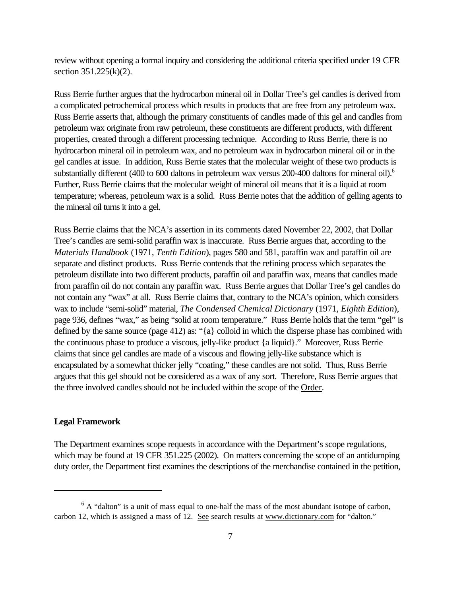review without opening a formal inquiry and considering the additional criteria specified under 19 CFR section  $351.225(k)(2)$ .

Russ Berrie further argues that the hydrocarbon mineral oil in Dollar Tree's gel candles is derived from a complicated petrochemical process which results in products that are free from any petroleum wax. Russ Berrie asserts that, although the primary constituents of candles made of this gel and candles from petroleum wax originate from raw petroleum, these constituents are different products, with different properties, created through a different processing technique. According to Russ Berrie, there is no hydrocarbon mineral oil in petroleum wax, and no petroleum wax in hydrocarbon mineral oil or in the gel candles at issue. In addition, Russ Berrie states that the molecular weight of these two products is substantially different (400 to 600 daltons in petroleum wax versus 200-400 daltons for mineral oil).<sup>6</sup> Further, Russ Berrie claims that the molecular weight of mineral oil means that it is a liquid at room temperature; whereas, petroleum wax is a solid. Russ Berrie notes that the addition of gelling agents to the mineral oil turns it into a gel.

Russ Berrie claims that the NCA's assertion in its comments dated November 22, 2002, that Dollar Tree's candles are semi-solid paraffin wax is inaccurate. Russ Berrie argues that, according to the *Materials Handbook* (1971, *Tenth Edition*), pages 580 and 581, paraffin wax and paraffin oil are separate and distinct products. Russ Berrie contends that the refining process which separates the petroleum distillate into two different products, paraffin oil and paraffin wax, means that candles made from paraffin oil do not contain any paraffin wax. Russ Berrie argues that Dollar Tree's gel candles do not contain any "wax" at all. Russ Berrie claims that, contrary to the NCA's opinion, which considers wax to include "semi-solid" material, *The Condensed Chemical Dictionary* (1971, *Eighth Edition*), page 936, defines "wax," as being "solid at room temperature." Russ Berrie holds that the term "gel" is defined by the same source (page 412) as: "{a} colloid in which the disperse phase has combined with the continuous phase to produce a viscous, jelly-like product {a liquid}." Moreover, Russ Berrie claims that since gel candles are made of a viscous and flowing jelly-like substance which is encapsulated by a somewhat thicker jelly "coating," these candles are not solid. Thus, Russ Berrie argues that this gel should not be considered as a wax of any sort. Therefore, Russ Berrie argues that the three involved candles should not be included within the scope of the Order.

## **Legal Framework**

The Department examines scope requests in accordance with the Department's scope regulations, which may be found at 19 CFR 351.225 (2002). On matters concerning the scope of an antidumping duty order, the Department first examines the descriptions of the merchandise contained in the petition,

 $6$  A "dalton" is a unit of mass equal to one-half the mass of the most abundant isotope of carbon, carbon 12, which is assigned a mass of 12. See search results at www.dictionary.com for "dalton."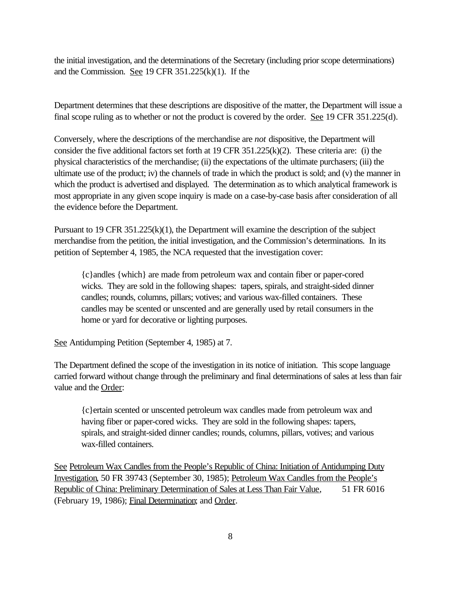the initial investigation, and the determinations of the Secretary (including prior scope determinations) and the Commission. See 19 CFR 351.225(k)(1). If the

Department determines that these descriptions are dispositive of the matter, the Department will issue a final scope ruling as to whether or not the product is covered by the order. See 19 CFR 351.225(d).

Conversely, where the descriptions of the merchandise are *not* dispositive, the Department will consider the five additional factors set forth at 19 CFR 351.225(k)(2). These criteria are: (i) the physical characteristics of the merchandise; (ii) the expectations of the ultimate purchasers; (iii) the ultimate use of the product; iv) the channels of trade in which the product is sold; and (v) the manner in which the product is advertised and displayed. The determination as to which analytical framework is most appropriate in any given scope inquiry is made on a case-by-case basis after consideration of all the evidence before the Department.

Pursuant to 19 CFR  $351.225(k)(1)$ , the Department will examine the description of the subject merchandise from the petition, the initial investigation, and the Commission's determinations. In its petition of September 4, 1985, the NCA requested that the investigation cover:

{c}andles {which} are made from petroleum wax and contain fiber or paper-cored wicks. They are sold in the following shapes: tapers, spirals, and straight-sided dinner candles; rounds, columns, pillars; votives; and various wax-filled containers. These candles may be scented or unscented and are generally used by retail consumers in the home or yard for decorative or lighting purposes.

See Antidumping Petition (September 4, 1985) at 7.

The Department defined the scope of the investigation in its notice of initiation. This scope language carried forward without change through the preliminary and final determinations of sales at less than fair value and the Order:

{c}ertain scented or unscented petroleum wax candles made from petroleum wax and having fiber or paper-cored wicks. They are sold in the following shapes: tapers, spirals, and straight-sided dinner candles; rounds, columns, pillars, votives; and various wax-filled containers.

See Petroleum Wax Candles from the People's Republic of China: Initiation of Antidumping Duty Investigation, 50 FR 39743 (September 30, 1985); Petroleum Wax Candles from the People's Republic of China: Preliminary Determination of Sales at Less Than Fair Value, 51 FR 6016 (February 19, 1986); Final Determination; and Order.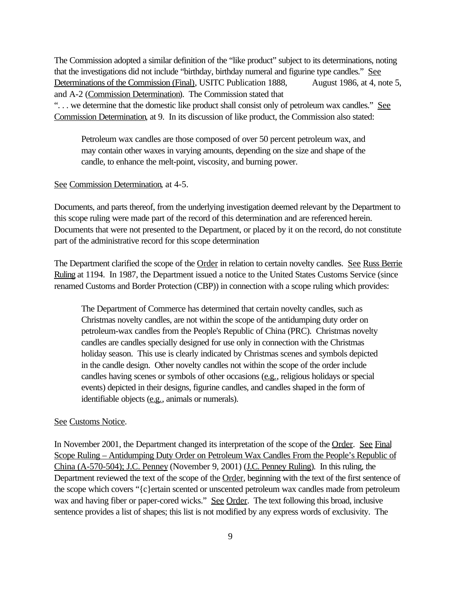The Commission adopted a similar definition of the "like product" subject to its determinations, noting that the investigations did not include "birthday, birthday numeral and figurine type candles." See Determinations of the Commission (Final), USITC Publication 1888, August 1986, at 4, note 5, and A-2 (Commission Determination). The Commission stated that "... we determine that the domestic like product shall consist only of petroleum wax candles." See Commission Determination, at 9. In its discussion of like product, the Commission also stated:

Petroleum wax candles are those composed of over 50 percent petroleum wax, and may contain other waxes in varying amounts, depending on the size and shape of the candle, to enhance the melt-point, viscosity, and burning power.

### See Commission Determination, at 4-5.

Documents, and parts thereof, from the underlying investigation deemed relevant by the Department to this scope ruling were made part of the record of this determination and are referenced herein. Documents that were not presented to the Department, or placed by it on the record, do not constitute part of the administrative record for this scope determination

The Department clarified the scope of the Order in relation to certain novelty candles. See Russ Berrie Ruling at 1194. In 1987, the Department issued a notice to the United States Customs Service (since renamed Customs and Border Protection (CBP)) in connection with a scope ruling which provides:

The Department of Commerce has determined that certain novelty candles, such as Christmas novelty candles, are not within the scope of the antidumping duty order on petroleum-wax candles from the People's Republic of China (PRC). Christmas novelty candles are candles specially designed for use only in connection with the Christmas holiday season. This use is clearly indicated by Christmas scenes and symbols depicted in the candle design. Other novelty candles not within the scope of the order include candles having scenes or symbols of other occasions (e.g., religious holidays or special events) depicted in their designs, figurine candles, and candles shaped in the form of identifiable objects (e.g., animals or numerals).

### See Customs Notice.

In November 2001, the Department changed its interpretation of the scope of the Order. See Final Scope Ruling – Antidumping Duty Order on Petroleum Wax Candles From the People's Republic of China (A-570-504); J.C. Penney (November 9, 2001) (J.C. Penney Ruling). In this ruling, the Department reviewed the text of the scope of the Order, beginning with the text of the first sentence of the scope which covers "{c}ertain scented or unscented petroleum wax candles made from petroleum wax and having fiber or paper-cored wicks." See Order. The text following this broad, inclusive sentence provides a list of shapes; this list is not modified by any express words of exclusivity. The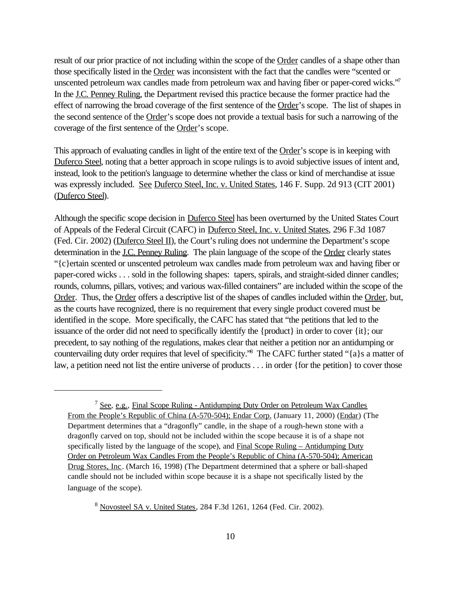result of our prior practice of not including within the scope of the Order candles of a shape other than those specifically listed in the Order was inconsistent with the fact that the candles were "scented or unscented petroleum wax candles made from petroleum wax and having fiber or paper-cored wicks."<sup>7</sup> In the J.C. Penney Ruling, the Department revised this practice because the former practice had the effect of narrowing the broad coverage of the first sentence of the Order's scope. The list of shapes in the second sentence of the Order's scope does not provide a textual basis for such a narrowing of the coverage of the first sentence of the Order's scope.

This approach of evaluating candles in light of the entire text of the Order's scope is in keeping with Duferco Steel, noting that a better approach in scope rulings is to avoid subjective issues of intent and, instead, look to the petition's language to determine whether the class or kind of merchandise at issue was expressly included. See Duferco Steel, Inc. v. United States, 146 F. Supp. 2d 913 (CIT 2001) (Duferco Steel).

Although the specific scope decision in Duferco Steel has been overturned by the United States Court of Appeals of the Federal Circuit (CAFC) in Duferco Steel, Inc. v. United States, 296 F.3d 1087 (Fed. Cir. 2002) (Duferco Steel II), the Court's ruling does not undermine the Department's scope determination in the <u>J.C. Penney Ruling</u>. The plain language of the scope of the Order clearly states "{c}ertain scented or unscented petroleum wax candles made from petroleum wax and having fiber or paper-cored wicks . . . sold in the following shapes: tapers, spirals, and straight-sided dinner candles; rounds, columns, pillars, votives; and various wax-filled containers" are included within the scope of the Order. Thus, the Order offers a descriptive list of the shapes of candles included within the Order, but, as the courts have recognized, there is no requirement that every single product covered must be identified in the scope. More specifically, the CAFC has stated that "the petitions that led to the issuance of the order did not need to specifically identify the {product} in order to cover {it}; our precedent, to say nothing of the regulations, makes clear that neither a petition nor an antidumping or countervailing duty order requires that level of specificity."<sup>8</sup> The CAFC further stated "{a}s a matter of law, a petition need not list the entire universe of products . . . in order {for the petition} to cover those

<sup>&</sup>lt;sup>7</sup> See, e.g., Final Scope Ruling - Antidumping Duty Order on Petroleum Wax Candles From the People's Republic of China (A-570-504); Endar Corp. (January 11, 2000) (Endar) (The Department determines that a "dragonfly" candle, in the shape of a rough-hewn stone with a dragonfly carved on top, should not be included within the scope because it is of a shape not specifically listed by the language of the scope), and Final Scope Ruling – Antidumping Duty Order on Petroleum Wax Candles From the People's Republic of China (A-570-504); American Drug Stores, Inc. (March 16, 1998) (The Department determined that a sphere or ball-shaped candle should not be included within scope because it is a shape not specifically listed by the language of the scope).

<sup>8</sup> Novosteel SA v. United States, 284 F.3d 1261, 1264 (Fed. Cir. 2002).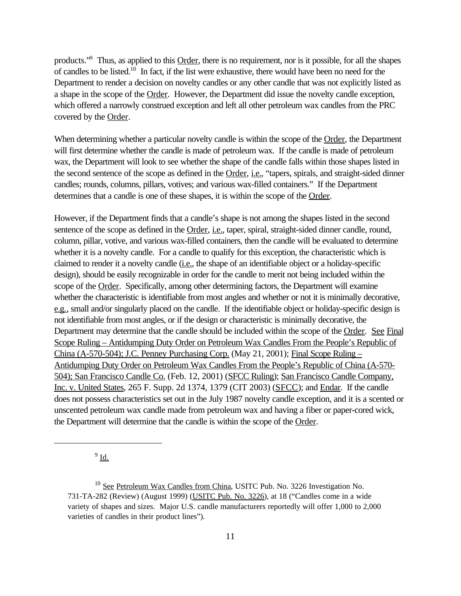products."<sup>9</sup> Thus, as applied to this Order, there is no requirement, nor is it possible, for all the shapes of candles to be listed.<sup>10</sup> In fact, if the list were exhaustive, there would have been no need for the Department to render a decision on novelty candles or any other candle that was not explicitly listed as a shape in the scope of the Order. However, the Department did issue the novelty candle exception, which offered a narrowly construed exception and left all other petroleum wax candles from the PRC covered by the Order.

When determining whether a particular novelty candle is within the scope of the Order, the Department will first determine whether the candle is made of petroleum wax. If the candle is made of petroleum wax, the Department will look to see whether the shape of the candle falls within those shapes listed in the second sentence of the scope as defined in the Order, *i.e.*, "tapers, spirals, and straight-sided dinner candles; rounds, columns, pillars, votives; and various wax-filled containers." If the Department determines that a candle is one of these shapes, it is within the scope of the Order.

However, if the Department finds that a candle's shape is not among the shapes listed in the second sentence of the scope as defined in the Order, i.e., taper, spiral, straight-sided dinner candle, round, column, pillar, votive, and various wax-filled containers, then the candle will be evaluated to determine whether it is a novelty candle. For a candle to qualify for this exception, the characteristic which is claimed to render it a novelty candle (i.e., the shape of an identifiable object or a holiday-specific design), should be easily recognizable in order for the candle to merit not being included within the scope of the Order. Specifically, among other determining factors, the Department will examine whether the characteristic is identifiable from most angles and whether or not it is minimally decorative, e.g., small and/or singularly placed on the candle. If the identifiable object or holiday-specific design is not identifiable from most angles, or if the design or characteristic is minimally decorative, the Department may determine that the candle should be included within the scope of the Order. See Final Scope Ruling – Antidumping Duty Order on Petroleum Wax Candles From the People's Republic of China (A-570-504); J.C. Penney Purchasing Corp. (May 21, 2001); Final Scope Ruling – Antidumping Duty Order on Petroleum Wax Candles From the People's Republic of China (A-570- 504); San Francisco Candle Co. (Feb. 12, 2001) (SFCC Ruling); San Francisco Candle Company, Inc. v. United States, 265 F. Supp. 2d 1374, 1379 (CIT 2003) (SFCC); and Endar. If the candle does not possess characteristics set out in the July 1987 novelty candle exception, and it is a scented or unscented petroleum wax candle made from petroleum wax and having a fiber or paper-cored wick, the Department will determine that the candle is within the scope of the Order.

 $^9$  <u>Id.</u>

<sup>&</sup>lt;sup>10</sup> See Petroleum Wax Candles from China, USITC Pub. No. 3226 Investigation No. 731-TA-282 (Review) (August 1999) (USITC Pub. No. 3226), at 18 ("Candles come in a wide variety of shapes and sizes. Major U.S. candle manufacturers reportedly will offer 1,000 to 2,000 varieties of candles in their product lines").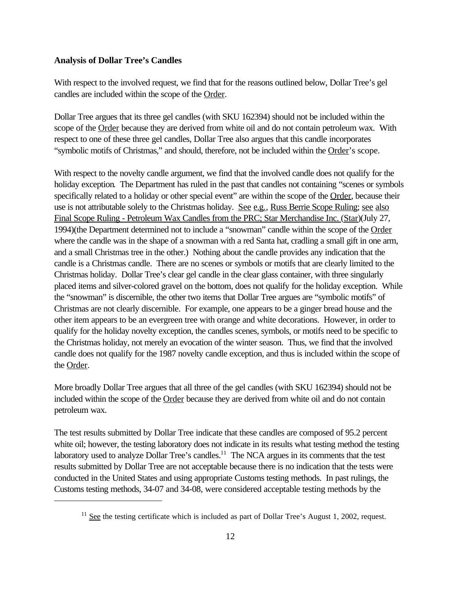### **Analysis of Dollar Tree's Candles**

With respect to the involved request, we find that for the reasons outlined below, Dollar Tree's gel candles are included within the scope of the Order.

Dollar Tree argues that its three gel candles (with SKU 162394) should not be included within the scope of the Order because they are derived from white oil and do not contain petroleum wax. With respect to one of these three gel candles, Dollar Tree also argues that this candle incorporates "symbolic motifs of Christmas," and should, therefore, not be included within the Order's scope.

With respect to the novelty candle argument, we find that the involved candle does not qualify for the holiday exception. The Department has ruled in the past that candles not containing "scenes or symbols" specifically related to a holiday or other special event" are within the scope of the Order, because their use is not attributable solely to the Christmas holiday. See e.g., Russ Berrie Scope Ruling; see also Final Scope Ruling - Petroleum Wax Candles from the PRC; Star Merchandise Inc. (Star)(July 27, 1994)(the Department determined not to include a "snowman" candle within the scope of the Order where the candle was in the shape of a snowman with a red Santa hat, cradling a small gift in one arm, and a small Christmas tree in the other.) Nothing about the candle provides any indication that the candle is a Christmas candle. There are no scenes or symbols or motifs that are clearly limited to the Christmas holiday. Dollar Tree's clear gel candle in the clear glass container, with three singularly placed items and silver-colored gravel on the bottom, does not qualify for the holiday exception. While the "snowman" is discernible, the other two items that Dollar Tree argues are "symbolic motifs" of Christmas are not clearly discernible. For example, one appears to be a ginger bread house and the other item appears to be an evergreen tree with orange and white decorations. However, in order to qualify for the holiday novelty exception, the candles scenes, symbols, or motifs need to be specific to the Christmas holiday, not merely an evocation of the winter season. Thus, we find that the involved candle does not qualify for the 1987 novelty candle exception, and thus is included within the scope of the Order.

More broadly Dollar Tree argues that all three of the gel candles (with SKU 162394) should not be included within the scope of the Order because they are derived from white oil and do not contain petroleum wax.

The test results submitted by Dollar Tree indicate that these candles are composed of 95.2 percent white oil; however, the testing laboratory does not indicate in its results what testing method the testing laboratory used to analyze Dollar Tree's candles.<sup>11</sup> The NCA argues in its comments that the test results submitted by Dollar Tree are not acceptable because there is no indication that the tests were conducted in the United States and using appropriate Customs testing methods. In past rulings, the Customs testing methods, 34-07 and 34-08, were considered acceptable testing methods by the

 $11$  See the testing certificate which is included as part of Dollar Tree's August 1, 2002, request.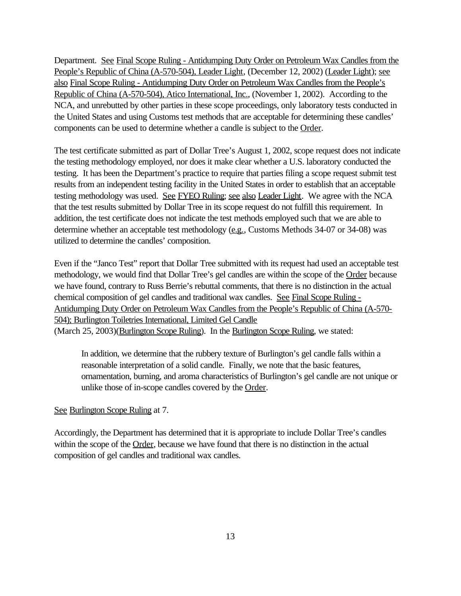Department. See Final Scope Ruling - Antidumping Duty Order on Petroleum Wax Candles from the People's Republic of China (A-570-504), Leader Light, (December 12, 2002) (Leader Light); see also Final Scope Ruling - Antidumping Duty Order on Petroleum Wax Candles from the People's Republic of China (A-570-504), Atico International, Inc., (November 1, 2002). According to the NCA, and unrebutted by other parties in these scope proceedings, only laboratory tests conducted in the United States and using Customs test methods that are acceptable for determining these candles' components can be used to determine whether a candle is subject to the Order.

The test certificate submitted as part of Dollar Tree's August 1, 2002, scope request does not indicate the testing methodology employed, nor does it make clear whether a U.S. laboratory conducted the testing. It has been the Department's practice to require that parties filing a scope request submit test results from an independent testing facility in the United States in order to establish that an acceptable testing methodology was used. See FYEO Ruling; see also Leader Light. We agree with the NCA that the test results submitted by Dollar Tree in its scope request do not fulfill this requirement. In addition, the test certificate does not indicate the test methods employed such that we are able to determine whether an acceptable test methodology (e.g., Customs Methods 34-07 or 34-08) was utilized to determine the candles' composition.

Even if the "Janco Test" report that Dollar Tree submitted with its request had used an acceptable test methodology, we would find that Dollar Tree's gel candles are within the scope of the Order because we have found, contrary to Russ Berrie's rebuttal comments, that there is no distinction in the actual chemical composition of gel candles and traditional wax candles. See Final Scope Ruling - Antidumping Duty Order on Petroleum Wax Candles from the People's Republic of China (A-570- 504); Burlington Toiletries International, Limited Gel Candle (March 25, 2003)(Burlington Scope Ruling). In the Burlington Scope Ruling, we stated:

In addition, we determine that the rubbery texture of Burlington's gel candle falls within a reasonable interpretation of a solid candle. Finally, we note that the basic features, ornamentation, burning, and aroma characteristics of Burlington's gel candle are not unique or unlike those of in-scope candles covered by the Order.

### See Burlington Scope Ruling at 7.

Accordingly, the Department has determined that it is appropriate to include Dollar Tree's candles within the scope of the Order, because we have found that there is no distinction in the actual composition of gel candles and traditional wax candles.